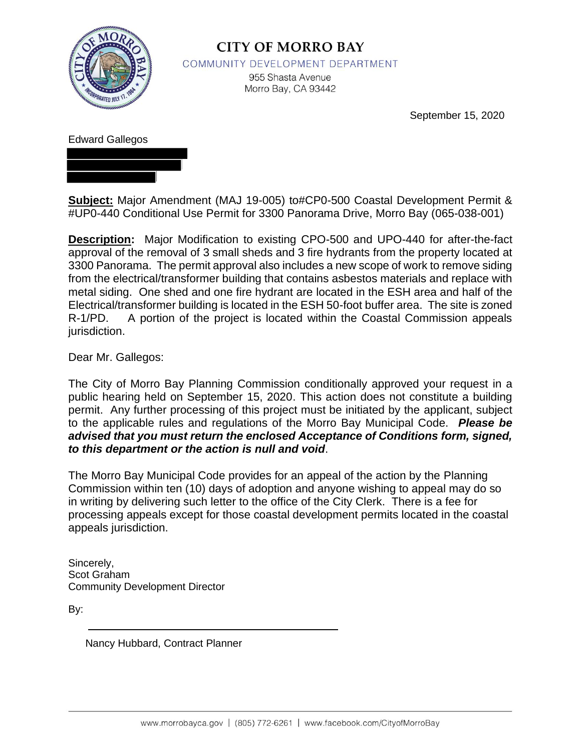

# **CITY OF MORRO BAY**

COMMUNITY DEVELOPMENT DEPARTMENT

955 Shasta Avenue Morro Bay, CA 93442

September 15, 2020

# Edward Gallegos

**Subject:** Major Amendment (MAJ 19-005) to#CP0-500 Coastal Development Permit & #UP0-440 Conditional Use Permit for 3300 Panorama Drive, Morro Bay (065-038-001)

**Description:** Major Modification to existing CPO-500 and UPO-440 for after-the-fact approval of the removal of 3 small sheds and 3 fire hydrants from the property located at 3300 Panorama. The permit approval also includes a new scope of work to remove siding from the electrical/transformer building that contains asbestos materials and replace with metal siding. One shed and one fire hydrant are located in the ESH area and half of the Electrical/transformer building is located in the ESH 50-foot buffer area. The site is zoned R-1/PD. A portion of the project is located within the Coastal Commission appeals jurisdiction.

Dear Mr. Gallegos:

The City of Morro Bay Planning Commission conditionally approved your request in a public hearing held on September 15, 2020. This action does not constitute a building permit. Any further processing of this project must be initiated by the applicant, subject to the applicable rules and regulations of the Morro Bay Municipal Code. *Please be advised that you must return the enclosed Acceptance of Conditions form, signed, to this department or the action is null and void*.

The Morro Bay Municipal Code provides for an appeal of the action by the Planning Commission within ten (10) days of adoption and anyone wishing to appeal may do so in writing by delivering such letter to the office of the City Clerk. There is a fee for processing appeals except for those coastal development permits located in the coastal appeals jurisdiction.

Sincerely, Scot Graham Community Development Director

By:

Nancy Hubbard, Contract Planner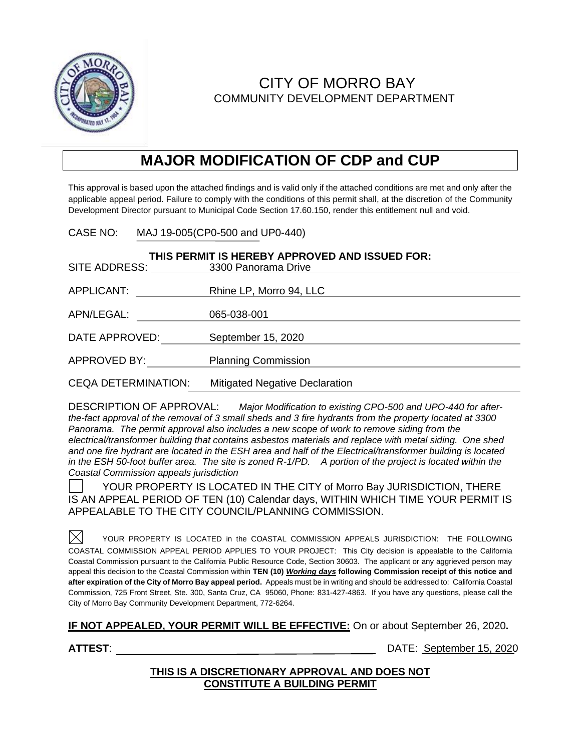

# CITY OF MORRO BAY COMMUNITY DEVELOPMENT DEPARTMENT

# **MAJOR MODIFICATION OF CDP and CUP**

This approval is based upon the attached findings and is valid only if the attached conditions are met and only after the applicable appeal period. Failure to comply with the conditions of this permit shall, at the discretion of the Community Development Director pursuant to Municipal Code Section 17.60.150, render this entitlement null and void.

CASE NO: MAJ 19-005(CP0-500 and UP0-440)

| THIS PERMIT IS HEREBY APPROVED AND ISSUED FOR: |                                       |  |
|------------------------------------------------|---------------------------------------|--|
| SITE ADDRESS:                                  | 3300 Panorama Drive                   |  |
| APPLICANT:                                     | Rhine LP, Morro 94, LLC               |  |
| APN/LEGAL:                                     | 065-038-001                           |  |
| DATE APPROVED:                                 | September 15, 2020                    |  |
| APPROVED BY:                                   | <b>Planning Commission</b>            |  |
| <b>CEQA DETERMINATION:</b>                     | <b>Mitigated Negative Declaration</b> |  |

DESCRIPTION OF APPROVAL: *Major Modification to existing CPO-500 and UPO-440 for afterthe-fact approval of the removal of 3 small sheds and 3 fire hydrants from the property located at 3300 Panorama. The permit approval also includes a new scope of work to remove siding from the electrical/transformer building that contains asbestos materials and replace with metal siding. One shed and one fire hydrant are located in the ESH area and half of the Electrical/transformer building is located in the ESH 50-foot buffer area. The site is zoned R-1/PD. A portion of the project is located within the Coastal Commission appeals jurisdiction*

YOUR PROPERTY IS LOCATED IN THE CITY of Morro Bay JURISDICTION, THERE IS AN APPEAL PERIOD OF TEN (10) Calendar days, WITHIN WHICH TIME YOUR PERMIT IS APPEALABLE TO THE CITY COUNCIL/PLANNING COMMISSION.

 $\times$ YOUR PROPERTY IS LOCATED in the COASTAL COMMISSION APPEALS JURISDICTION:THE FOLLOWING COASTAL COMMISSION APPEAL PERIOD APPLIES TO YOUR PROJECT: This City decision is appealable to the California Coastal Commission pursuant to the California Public Resource Code, Section 30603. The applicant or any aggrieved person may appeal this decision to the Coastal Commission within **TEN (10)** *Working days* **following Commission receipt of this notice and after expiration of the City of Morro Bay appeal period.** Appeals must be in writing and should be addressed to: California Coastal Commission, 725 Front Street, Ste. 300, Santa Cruz, CA 95060, Phone: 831-427-4863. If you have any questions, please call the City of Morro Bay Community Development Department, 772-6264.

**IF NOT APPEALED, YOUR PERMIT WILL BE EFFECTIVE:** On or about September 26, 2020**.**

**ATTEST**: DATE: September 15, 2020

### **THIS IS A DISCRETIONARY APPROVAL AND DOES NOT CONSTITUTE A BUILDING PERMIT**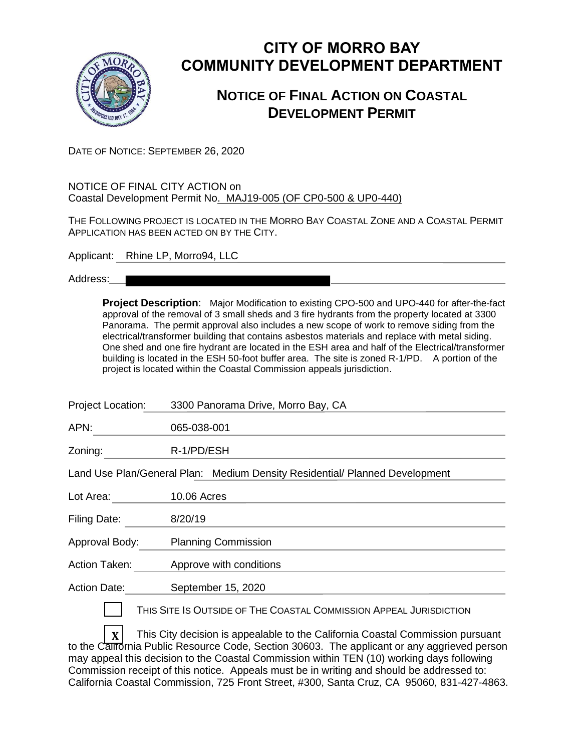

# **CITY OF MORRO BAY COMMUNITY DEVELOPMENT DEPARTMENT**

# **NOTICE OF FINAL ACTION ON COASTAL DEVELOPMENT PERMIT**

DATE OF NOTICE: SEPTEMBER 26, 2020

#### NOTICE OF FINAL CITY ACTION on Coastal Development Permit No. MAJ19-005 (OF CP0-500 & UP0-440)

THE FOLLOWING PROJECT IS LOCATED IN THE MORRO BAY COASTAL ZONE AND A COASTAL PERMIT APPLICATION HAS BEEN ACTED ON BY THE CITY.

Applicant: Rhine LP, Morro94, LLC

Address:

**Project Description**: Major Modification to existing CPO-500 and UPO-440 for after-the-fact approval of the removal of 3 small sheds and 3 fire hydrants from the property located at 3300 Panorama. The permit approval also includes a new scope of work to remove siding from the electrical/transformer building that contains asbestos materials and replace with metal siding. One shed and one fire hydrant are located in the ESH area and half of the Electrical/transformer building is located in the ESH 50-foot buffer area. The site is zoned R-1/PD. A portion of the project is located within the Coastal Commission appeals jurisdiction.

| Project Location:   | 3300 Panorama Drive, Morro Bay, CA                                          |
|---------------------|-----------------------------------------------------------------------------|
| APN:                | 065-038-001                                                                 |
| Zoning:             | R-1/PD/ESH                                                                  |
|                     | Land Use Plan/General Plan: Medium Density Residential/ Planned Development |
| Lot Area:           | <b>10.06 Acres</b>                                                          |
| Filing Date:        | 8/20/19                                                                     |
| Approval Body:      | <b>Planning Commission</b>                                                  |
| Action Taken:       | Approve with conditions                                                     |
| <b>Action Date:</b> | September 15, 2020                                                          |
|                     | THIS SITE IS OUTSIDE OF THE COASTAL COMMISSION APPEAL JURISDICTION          |
|                     |                                                                             |

 $\mathbf{x}$  | This City decision is appealable to the California Coastal Commission pursuant to the California Public Resource Code, Section 30603. The applicant or any aggrieved person may appeal this decision to the Coastal Commission within TEN (10) working days following Commission receipt of this notice. Appeals must be in writing and should be addressed to: California Coastal Commission, 725 Front Street, #300, Santa Cruz, CA 95060, 831-427-4863.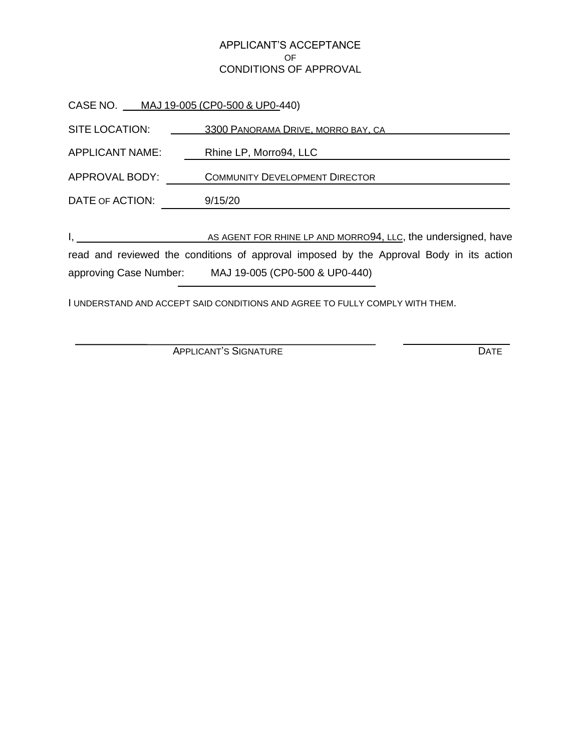#### APPLICANT'S ACCEPTANCE OF CONDITIONS OF APPROVAL

|                                                                                                                                                                                                                                      | CASE NO. ___ MAJ 19-005 (CP0-500 & UP0-440)                   |
|--------------------------------------------------------------------------------------------------------------------------------------------------------------------------------------------------------------------------------------|---------------------------------------------------------------|
| SITE LOCATION:                                                                                                                                                                                                                       | 3300 PANORAMA DRIVE, MORRO BAY, CA                            |
| APPLICANT NAME:                                                                                                                                                                                                                      | Rhine LP, Morro94, LLC                                        |
| APPROVAL BODY:                                                                                                                                                                                                                       | <b>COMMUNITY DEVELOPMENT DIRECTOR</b>                         |
| DATE OF ACTION:                                                                                                                                                                                                                      | 9/15/20                                                       |
|                                                                                                                                                                                                                                      |                                                               |
| <u>I, et al. (2001). In the set of the set of the set of the set of the set of the set of the set of the set of the set of the set of the set of the set of the set of the set of the set of the set of the set of the set of th</u> | AS AGENT FOR RHINE LP AND MORRO94, LLC, the undersigned, have |
|                                                                                                                                                                                                                                      |                                                               |

read and reviewed the conditions of approval imposed by the Approval Body in its action approving Case Number: MAJ 19-005 (CP0-500 & UP0-440)

I UNDERSTAND AND ACCEPT SAID CONDITIONS AND AGREE TO FULLY COMPLY WITH THEM.

APPLICANT'S SIGNATURE DATE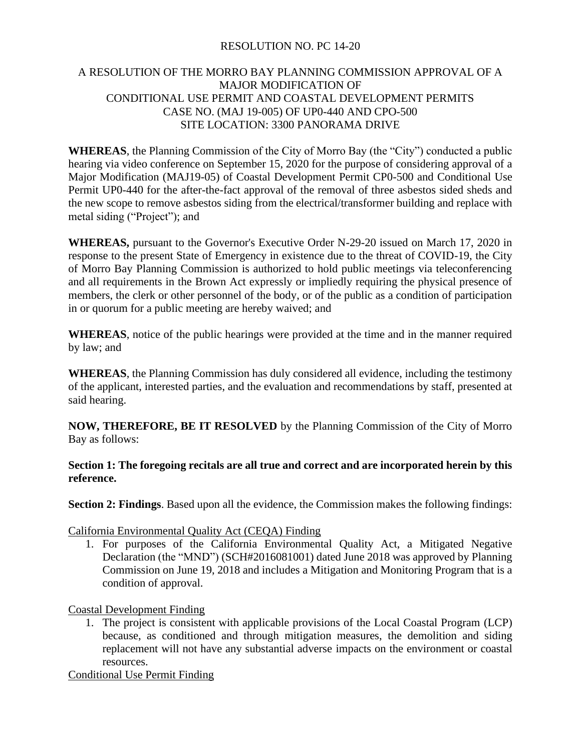### RESOLUTION NO. PC 14-20

# A RESOLUTION OF THE MORRO BAY PLANNING COMMISSION APPROVAL OF A MAJOR MODIFICATION OF CONDITIONAL USE PERMIT AND COASTAL DEVELOPMENT PERMITS CASE NO. (MAJ 19-005) OF UP0-440 AND CPO-500 SITE LOCATION: 3300 PANORAMA DRIVE

**WHEREAS**, the Planning Commission of the City of Morro Bay (the "City") conducted a public hearing via video conference on September 15, 2020 for the purpose of considering approval of a Major Modification (MAJ19-05) of Coastal Development Permit CP0-500 and Conditional Use Permit UP0-440 for the after-the-fact approval of the removal of three asbestos sided sheds and the new scope to remove asbestos siding from the electrical/transformer building and replace with metal siding ("Project"); and

**WHEREAS,** pursuant to the Governor's Executive Order N-29-20 issued on March 17, 2020 in response to the present State of Emergency in existence due to the threat of COVID-19, the City of Morro Bay Planning Commission is authorized to hold public meetings via teleconferencing and all requirements in the Brown Act expressly or impliedly requiring the physical presence of members, the clerk or other personnel of the body, or of the public as a condition of participation in or quorum for a public meeting are hereby waived; and

**WHEREAS**, notice of the public hearings were provided at the time and in the manner required by law; and

**WHEREAS**, the Planning Commission has duly considered all evidence, including the testimony of the applicant, interested parties, and the evaluation and recommendations by staff, presented at said hearing.

**NOW, THEREFORE, BE IT RESOLVED** by the Planning Commission of the City of Morro Bay as follows:

**Section 1: The foregoing recitals are all true and correct and are incorporated herein by this reference.**

**Section 2: Findings**. Based upon all the evidence, the Commission makes the following findings:

California Environmental Quality Act (CEQA) Finding

1. For purposes of the California Environmental Quality Act, a Mitigated Negative Declaration (the "MND") (SCH#2016081001) dated June 2018 was approved by Planning Commission on June 19, 2018 and includes a Mitigation and Monitoring Program that is a condition of approval.

Coastal Development Finding

1. The project is consistent with applicable provisions of the Local Coastal Program (LCP) because, as conditioned and through mitigation measures, the demolition and siding replacement will not have any substantial adverse impacts on the environment or coastal resources.

Conditional Use Permit Finding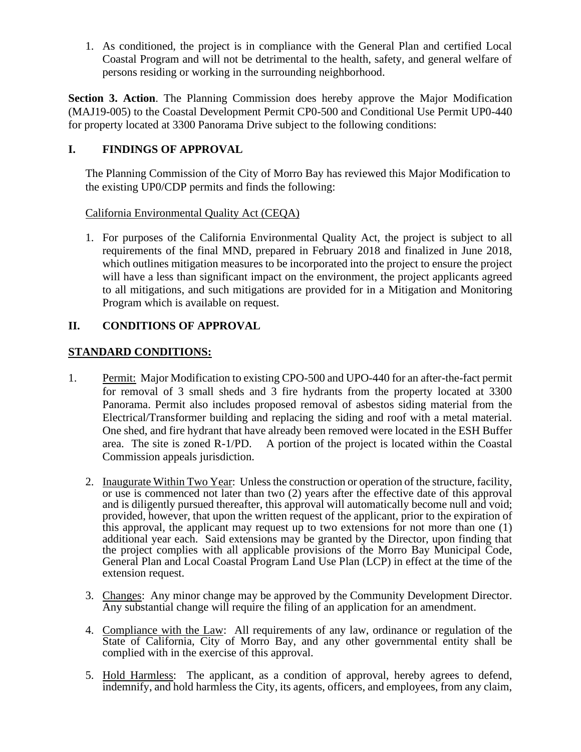1. As conditioned, the project is in compliance with the General Plan and certified Local Coastal Program and will not be detrimental to the health, safety, and general welfare of persons residing or working in the surrounding neighborhood.

**Section 3. Action**. The Planning Commission does hereby approve the Major Modification (MAJ19-005) to the Coastal Development Permit CP0-500 and Conditional Use Permit UP0-440 for property located at 3300 Panorama Drive subject to the following conditions:

# **I. FINDINGS OF APPROVAL**

The Planning Commission of the City of Morro Bay has reviewed this Major Modification to the existing UP0/CDP permits and finds the following:

### California Environmental Quality Act (CEQA)

1. For purposes of the California Environmental Quality Act, the project is subject to all requirements of the final MND, prepared in February 2018 and finalized in June 2018, which outlines mitigation measures to be incorporated into the project to ensure the project will have a less than significant impact on the environment, the project applicants agreed to all mitigations, and such mitigations are provided for in a Mitigation and Monitoring Program which is available on request.

# **II. CONDITIONS OF APPROVAL**

# **STANDARD CONDITIONS:**

- 1. Permit: Major Modification to existing CPO-500 and UPO-440 for an after-the-fact permit for removal of 3 small sheds and 3 fire hydrants from the property located at 3300 Panorama. Permit also includes proposed removal of asbestos siding material from the Electrical/Transformer building and replacing the siding and roof with a metal material. One shed, and fire hydrant that have already been removed were located in the ESH Buffer area. The site is zoned R-1/PD. A portion of the project is located within the Coastal Commission appeals jurisdiction.
	- 2. Inaugurate Within Two Year: Unless the construction or operation of the structure, facility, or use is commenced not later than two (2) years after the effective date of this approval and is diligently pursued thereafter, this approval will automatically become null and void; provided, however, that upon the written request of the applicant, prior to the expiration of this approval, the applicant may request up to two extensions for not more than one (1) additional year each. Said extensions may be granted by the Director, upon finding that the project complies with all applicable provisions of the Morro Bay Municipal Code, General Plan and Local Coastal Program Land Use Plan (LCP) in effect at the time of the extension request.
	- 3. Changes: Any minor change may be approved by the Community Development Director. Any substantial change will require the filing of an application for an amendment.
	- 4. Compliance with the Law: All requirements of any law, ordinance or regulation of the State of California, City of Morro Bay, and any other governmental entity shall be complied with in the exercise of this approval.
	- 5. Hold Harmless: The applicant, as a condition of approval, hereby agrees to defend, indemnify, and hold harmless the City, its agents, officers, and employees, from any claim,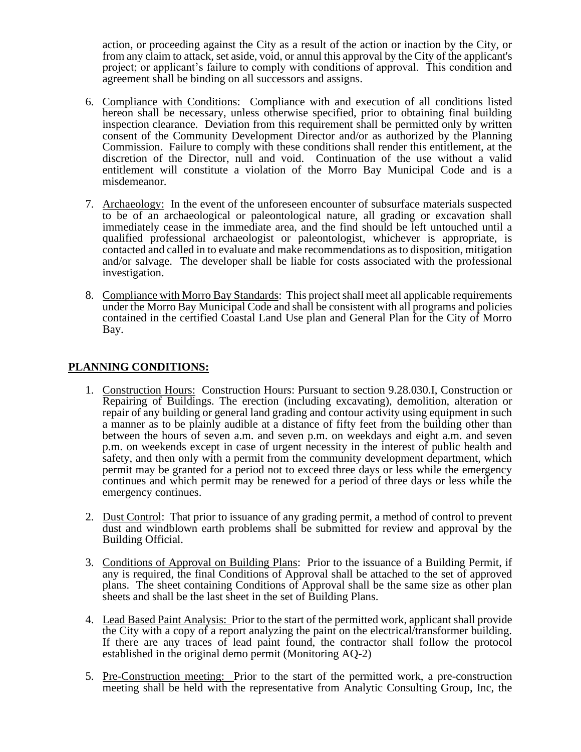action, or proceeding against the City as a result of the action or inaction by the City, or from any claim to attack, set aside, void, or annul this approval by the City of the applicant's project; or applicant's failure to comply with conditions of approval. This condition and agreement shall be binding on all successors and assigns.

- 6. Compliance with Conditions: Compliance with and execution of all conditions listed hereon shall be necessary, unless otherwise specified, prior to obtaining final building inspection clearance. Deviation from this requirement shall be permitted only by written consent of the Community Development Director and/or as authorized by the Planning Commission. Failure to comply with these conditions shall render this entitlement, at the discretion of the Director, null and void. Continuation of the use without a valid entitlement will constitute a violation of the Morro Bay Municipal Code and is a misdemeanor.
- 7. Archaeology: In the event of the unforeseen encounter of subsurface materials suspected to be of an archaeological or paleontological nature, all grading or excavation shall immediately cease in the immediate area, and the find should be left untouched until a qualified professional archaeologist or paleontologist, whichever is appropriate, is contacted and called in to evaluate and make recommendations as to disposition, mitigation and/or salvage. The developer shall be liable for costs associated with the professional investigation.
- 8. Compliance with Morro Bay Standards: This project shall meet all applicable requirements under the Morro Bay Municipal Code and shall be consistent with all programs and policies contained in the certified Coastal Land Use plan and General Plan for the City of Morro Bay.

# **PLANNING CONDITIONS:**

- 1. Construction Hours: Construction Hours: Pursuant to section 9.28.030.I, Construction or Repairing of Buildings. The erection (including excavating), demolition, alteration or repair of any building or general land grading and contour activity using equipment in such a manner as to be plainly audible at a distance of fifty feet from the building other than between the hours of seven a.m. and seven p.m. on weekdays and eight a.m. and seven p.m. on weekends except in case of urgent necessity in the interest of public health and safety, and then only with a permit from the community development department, which permit may be granted for a period not to exceed three days or less while the emergency continues and which permit may be renewed for a period of three days or less while the emergency continues.
- 2. Dust Control: That prior to issuance of any grading permit, a method of control to prevent dust and windblown earth problems shall be submitted for review and approval by the Building Official.
- 3. Conditions of Approval on Building Plans: Prior to the issuance of a Building Permit, if any is required, the final Conditions of Approval shall be attached to the set of approved plans. The sheet containing Conditions of Approval shall be the same size as other plan sheets and shall be the last sheet in the set of Building Plans.
- 4. Lead Based Paint Analysis: Prior to the start of the permitted work, applicant shall provide the City with a copy of a report analyzing the paint on the electrical/transformer building. If there are any traces of lead paint found, the contractor shall follow the protocol established in the original demo permit (Monitoring AQ-2)
- 5. Pre-Construction meeting: Prior to the start of the permitted work, a pre-construction meeting shall be held with the representative from Analytic Consulting Group, Inc, the